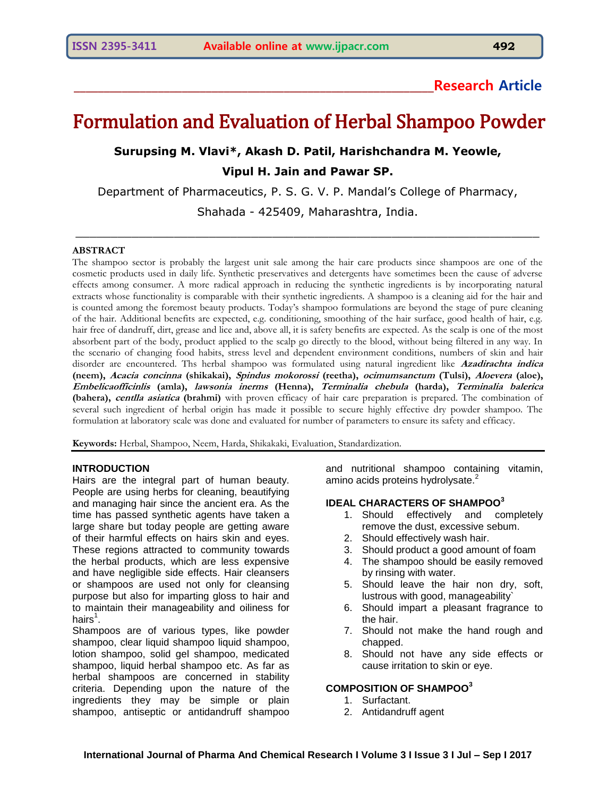## **\_\_\_\_\_\_\_\_\_\_\_\_\_\_\_\_\_\_\_\_\_\_\_\_\_\_\_\_\_\_\_\_\_\_\_\_\_\_\_\_\_\_\_\_\_\_\_\_\_\_\_\_\_\_\_\_\_\_\_\_Research Article**

# Formulation and Evaluation of Herbal Shampoo Powder

## **Surupsing M. Vlavi\*, Akash D. Patil, Harishchandra M. Yeowle, Vipul H. Jain and Pawar SP.**

Department of Pharmaceutics, P. S. G. V. P. Mandal's College of Pharmacy, Shahada - 425409, Maharashtra, India.

 $\mathcal{L}_\mathcal{L} = \{ \mathcal{L}_\mathcal{L} = \{ \mathcal{L}_\mathcal{L} = \{ \mathcal{L}_\mathcal{L} = \{ \mathcal{L}_\mathcal{L} = \{ \mathcal{L}_\mathcal{L} = \{ \mathcal{L}_\mathcal{L} = \{ \mathcal{L}_\mathcal{L} = \{ \mathcal{L}_\mathcal{L} = \{ \mathcal{L}_\mathcal{L} = \{ \mathcal{L}_\mathcal{L} = \{ \mathcal{L}_\mathcal{L} = \{ \mathcal{L}_\mathcal{L} = \{ \mathcal{L}_\mathcal{L} = \{ \mathcal{L}_\mathcal{$ 

#### **ABSTRACT**

The shampoo sector is probably the largest unit sale among the hair care products since shampoos are one of the cosmetic products used in daily life. Synthetic preservatives and detergents have sometimes been the cause of adverse effects among consumer. A more radical approach in reducing the synthetic ingredients is by incorporating natural extracts whose functionality is comparable with their synthetic ingredients. A shampoo is a cleaning aid for the hair and is counted among the foremost beauty products. Today's shampoo formulations are beyond the stage of pure cleaning of the hair. Additional benefits are expected, e.g. conditioning, smoothing of the hair surface, good health of hair, e.g. hair free of dandruff, dirt, grease and lice and, above all, it is safety benefits are expected. As the scalp is one of the most absorbent part of the body, product applied to the scalp go directly to the blood, without being filtered in any way. In the scenario of changing food habits, stress level and dependent environment conditions, numbers of skin and hair disorder are encountered. Ths herbal shampoo was formulated using natural ingredient like **Azadirachta indica (neem), Acacia concinna (shikakai), Spindus mokorossi (reetha), ocimumsanctum (Tulsi), Aloevera (aloe), Embelicaofficinlis (amla), lawsonia inerms (Henna), Terminalia chebula (harda), Terminalia balerica (bahera), centlla asiatica (brahmi)** with proven efficacy of hair care preparation is prepared. The combination of several such ingredient of herbal origin has made it possible to secure highly effective dry powder shampoo. The formulation at laboratory scale was done and evaluated for number of parameters to ensure its safety and efficacy.

**Keywords:** Herbal, Shampoo, Neem, Harda, Shikakaki, Evaluation, Standardization.

#### **INTRODUCTION**

Hairs are the integral part of human beauty. People are using herbs for cleaning, beautifying and managing hair since the ancient era. As the time has passed synthetic agents have taken a large share but today people are getting aware of their harmful effects on hairs skin and eyes. These regions attracted to community towards the herbal products, which are less expensive and have negligible side effects. Hair cleansers or shampoos are used not only for cleansing purpose but also for imparting gloss to hair and to maintain their manageability and oiliness for hairs $^{\rm 1}.$ 

Shampoos are of various types, like powder shampoo, clear liquid shampoo liquid shampoo, lotion shampoo, solid gel shampoo, medicated shampoo, liquid herbal shampoo etc. As far as herbal shampoos are concerned in stability criteria. Depending upon the nature of the ingredients they may be simple or plain shampoo, antiseptic or antidandruff shampoo

and nutritional shampoo containing vitamin, amino acids proteins hydrolysate.<sup>2</sup>

## **IDEAL CHARACTERS OF SHAMPOO<sup>3</sup>**

- 1. Should effectively and completely remove the dust, excessive sebum.
- 2. Should effectively wash hair.
- 3. Should product a good amount of foam
- 4. The shampoo should be easily removed by rinsing with water.
- 5. Should leave the hair non dry, soft, lustrous with good, manageability`
- 6. Should impart a pleasant fragrance to the hair.
- 7. Should not make the hand rough and chapped.
- 8. Should not have any side effects or cause irritation to skin or eye.

## **COMPOSITION OF SHAMPOO<sup>3</sup>**

- 1. Surfactant.
- 2. Antidandruff agent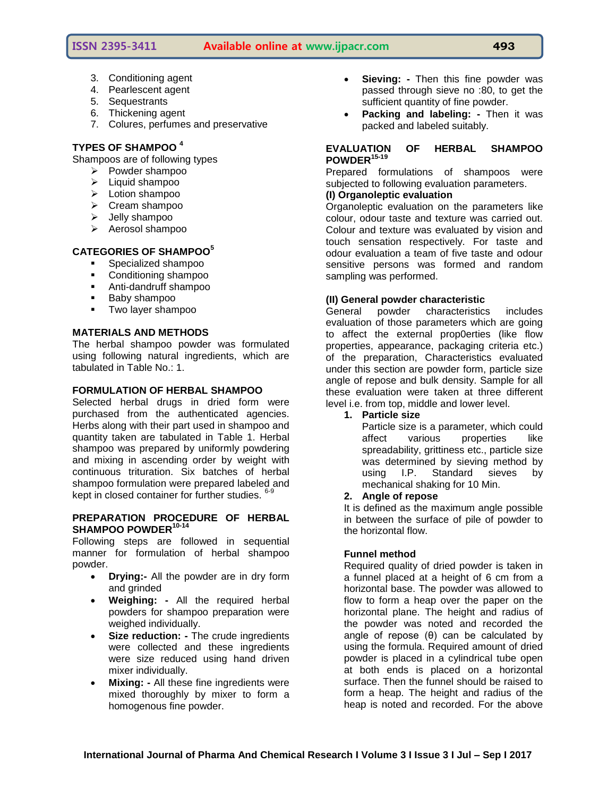## **ISSN 2395-3411 Available online at www.ijpacr.com 493**

- 3. Conditioning agent
- 4. Pearlescent agent
- 5. Sequestrants
- 6. Thickening agent
- 7. Colures, perfumes and preservative

## **TYPES OF SHAMPOO <sup>4</sup>**

Shampoos are of following types

- $\triangleright$  Powder shampoo
- $\blacktriangleright$  Liquid shampoo
- $\triangleright$  Lotion shampoo
- $\triangleright$  Cream shampoo
- $\blacktriangleright$  Jelly shampoo
- $\triangleright$  Aerosol shampoo

## **CATEGORIES OF SHAMPOO<sup>5</sup>**

- **Specialized shampool**
- **Conditioning shampoo**
- Anti-dandruff shampoo
- **Baby shampoo**
- **Two layer shampoo**

## **MATERIALS AND METHODS**

The herbal shampoo powder was formulated using following natural ingredients, which are tabulated in Table No.: 1.

## **FORMULATION OF HERBAL SHAMPOO**

Selected herbal drugs in dried form were purchased from the authenticated agencies. Herbs along with their part used in shampoo and quantity taken are tabulated in Table 1. Herbal shampoo was prepared by uniformly powdering and mixing in ascending order by weight with continuous trituration. Six batches of herbal shampoo formulation were prepared labeled and kept in closed container for further studies. <sup>6-9</sup>

## **PREPARATION PROCEDURE OF HERBAL SHAMPOO POWDER10-14**

Following steps are followed in sequential manner for formulation of herbal shampoo powder.

- **Drying:-** All the powder are in dry form and grinded
- **Weighing: -** All the required herbal powders for shampoo preparation were weighed individually.
- **Size reduction: -** The crude ingredients were collected and these ingredients were size reduced using hand driven mixer individually.
- **Mixing: -** All these fine ingredients were mixed thoroughly by mixer to form a homogenous fine powder.
- **Sieving: -** Then this fine powder was passed through sieve no :80, to get the sufficient quantity of fine powder.
- **Packing and labeling: -** Then it was packed and labeled suitably.

## **EVALUATION OF HERBAL SHAMPOO POWDER15-19**

Prepared formulations of shampoos were subjected to following evaluation parameters.

## **(I) Organoleptic evaluation**

Organoleptic evaluation on the parameters like colour, odour taste and texture was carried out. Colour and texture was evaluated by vision and touch sensation respectively. For taste and odour evaluation a team of five taste and odour sensitive persons was formed and random sampling was performed.

## **(II) General powder characteristic**

General powder characteristics includes evaluation of those parameters which are going to affect the external prop0erties (like flow properties, appearance, packaging criteria etc.) of the preparation, Characteristics evaluated under this section are powder form, particle size angle of repose and bulk density. Sample for all these evaluation were taken at three different level i.e. from top, middle and lower level.

**1. Particle size**

Particle size is a parameter, which could affect various properties like spreadability, grittiness etc., particle size was determined by sieving method by using I.P. Standard sieves by mechanical shaking for 10 Min.

## **2. Angle of repose**

It is defined as the maximum angle possible in between the surface of pile of powder to the horizontal flow.

## **Funnel method**

Required quality of dried powder is taken in a funnel placed at a height of 6 cm from a horizontal base. The powder was allowed to flow to form a heap over the paper on the horizontal plane. The height and radius of the powder was noted and recorded the angle of repose  $(θ)$  can be calculated by using the formula. Required amount of dried powder is placed in a cylindrical tube open at both ends is placed on a horizontal surface. Then the funnel should be raised to form a heap. The height and radius of the heap is noted and recorded. For the above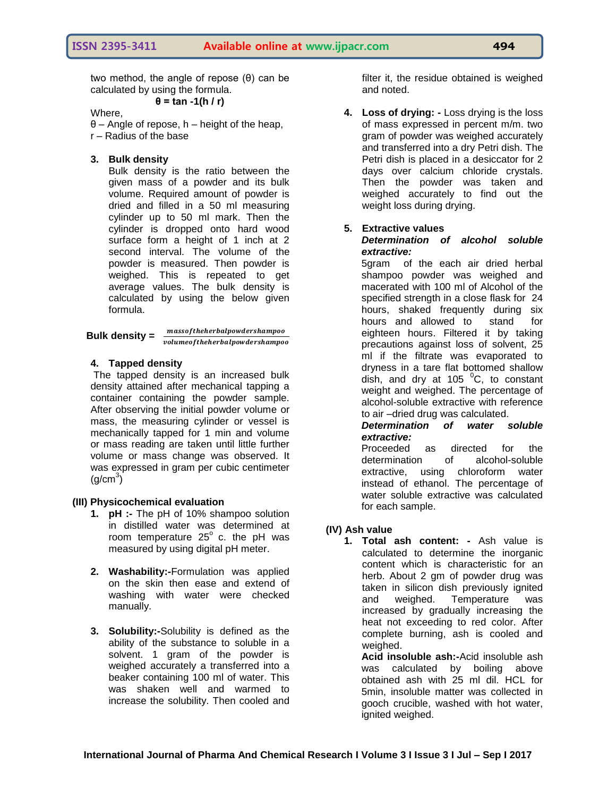two method, the angle of repose (θ) can be calculated by using the formula. **θ = tan -1(h / r)**

## Where,

 $\theta$  – Angle of repose, h – height of the heap, r – Radius of the base

## **3. Bulk density**

Bulk density is the ratio between the given mass of a powder and its bulk volume. Required amount of powder is dried and filled in a 50 ml measuring cylinder up to 50 ml mark. Then the cylinder is dropped onto hard wood surface form a height of 1 inch at 2 second interval. The volume of the powder is measured. Then powder is weighed. This is repeated to get average values. The bulk density is calculated by using the below given formula.

**Bulk density =**  $\frac{1}{v}$ 

## **4. Tapped density**

The tapped density is an increased bulk density attained after mechanical tapping a container containing the powder sample. After observing the initial powder volume or mass, the measuring cylinder or vessel is mechanically tapped for 1 min and volume or mass reading are taken until little further volume or mass change was observed. It was expressed in gram per cubic centimeter  $(g/cm<sup>3</sup>)$ 

## **(III) Physicochemical evaluation**

- **1. pH :-** The pH of 10% shampoo solution in distilled water was determined at room temperature  $25^\circ$  c. the pH was measured by using digital pH meter.
- **2. Washability:-**Formulation was applied on the skin then ease and extend of washing with water were checked manually.
- **3. Solubility:-**Solubility is defined as the ability of the substance to soluble in a solvent. 1 gram of the powder is weighed accurately a transferred into a beaker containing 100 ml of water. This was shaken well and warmed to increase the solubility. Then cooled and

filter it, the residue obtained is weighed and noted.

**4. Loss of drying: -** Loss drying is the loss of mass expressed in percent m/m. two gram of powder was weighed accurately and transferred into a dry Petri dish. The Petri dish is placed in a desiccator for 2 days over calcium chloride crystals. Then the powder was taken and weighed accurately to find out the weight loss during drying.

## **5. Extractive values**

#### *Determination of alcohol soluble extractive:*

5gram of the each air dried herbal shampoo powder was weighed and macerated with 100 ml of Alcohol of the specified strength in a close flask for 24 hours, shaked frequently during six hours and allowed to stand for eighteen hours. Filtered it by taking precautions against loss of solvent, 25 ml if the filtrate was evaporated to dryness in a tare flat bottomed shallow dish, and dry at  $105<sup>0</sup>C$ , to constant weight and weighed. The percentage of alcohol-soluble extractive with reference to air –dried drug was calculated.

*Determination of water soluble extractive:*

Proceeded as directed for the determination of alcohol-soluble extractive, using chloroform water instead of ethanol. The percentage of water soluble extractive was calculated for each sample.

## **(IV) Ash value**

**1. Total ash content: -** Ash value is calculated to determine the inorganic content which is characteristic for an herb. About 2 gm of powder drug was taken in silicon dish previously ignited and weighed. Temperature was increased by gradually increasing the heat not exceeding to red color. After complete burning, ash is cooled and weighed.

**Acid insoluble ash:-**Acid insoluble ash was calculated by boiling above obtained ash with 25 ml dil. HCL for 5min, insoluble matter was collected in gooch crucible, washed with hot water, ignited weighed.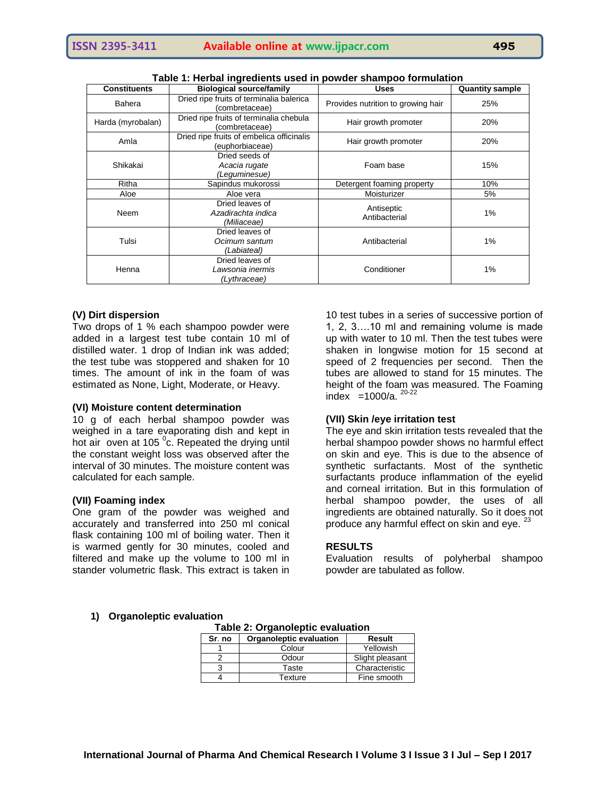| <b>Constituents</b>                                          | <b>Biological source/family</b>                                                                  | <b>Uses</b>                 | <b>Quantity sample</b> |
|--------------------------------------------------------------|--------------------------------------------------------------------------------------------------|-----------------------------|------------------------|
| Bahera                                                       | Dried ripe fruits of terminalia balerica<br>Provides nutrition to growing hair<br>(combretaceae) |                             | 25%                    |
| Harda (myrobalan)                                            | Dried ripe fruits of terminalia chebula<br>(combretaceae)                                        | Hair growth promoter        | 20%                    |
| Amla                                                         | Dried ripe fruits of embelica officinalis<br>(euphorbiaceae)                                     | Hair growth promoter        | 20%                    |
| Dried seeds of<br>Shikakai<br>Acacia rugate<br>(Leguminesue) |                                                                                                  | Foam base                   | 15%                    |
| Ritha                                                        | Sapindus mukorossi<br>Detergent foaming property                                                 |                             | 10%                    |
| Aloe<br>Aloe vera                                            |                                                                                                  | Moisturizer                 | 5%                     |
| Neem                                                         | Dried leaves of<br>Azadirachta indica<br>(Miliaceae)                                             | Antiseptic<br>Antibacterial | 1%                     |
| Tulsi                                                        | Dried leaves of<br>Ocimum santum<br>(Labiateal)                                                  | Antibacterial               | 1%                     |
| Henna                                                        | Dried leaves of<br>Lawsonia inermis<br>(Lythraceae)                                              | Conditioner                 | 1%                     |

**Table 1: Herbal ingredients used in powder shampoo formulation**

#### **(V) Dirt dispersion**

Two drops of 1 % each shampoo powder were added in a largest test tube contain 10 ml of distilled water. 1 drop of Indian ink was added; the test tube was stoppered and shaken for 10 times. The amount of ink in the foam of was estimated as None, Light, Moderate, or Heavy.

#### **(VI) Moisture content determination**

10 g of each herbal shampoo powder was weighed in a tare evaporating dish and kept in hot air oven at 105  $^{\circ}$ c. Repeated the drying until the constant weight loss was observed after the interval of 30 minutes. The moisture content was calculated for each sample.

#### **(VII) Foaming index**

One gram of the powder was weighed and accurately and transferred into 250 ml conical flask containing 100 ml of boiling water. Then it is warmed gently for 30 minutes, cooled and filtered and make up the volume to 100 ml in stander volumetric flask. This extract is taken in

10 test tubes in a series of successive portion of 1, 2, 3….10 ml and remaining volume is made up with water to 10 ml. Then the test tubes were shaken in longwise motion for 15 second at speed of 2 frequencies per second. Then the tubes are allowed to stand for 15 minutes. The height of the foam was measured. The Foaming index =1000/a.  $20-22$ 

#### **(VII) Skin /eye irritation test**

The eye and skin irritation tests revealed that the herbal shampoo powder shows no harmful effect on skin and eye. This is due to the absence of synthetic surfactants. Most of the synthetic surfactants produce inflammation of the eyelid and corneal irritation. But in this formulation of herbal shampoo powder, the uses of all ingredients are obtained naturally. So it does not produce any harmful effect on skin and eye.  $23$ 

#### **RESULTS**

Evaluation results of polyherbal shampoo powder are tabulated as follow.

#### **1) Organoleptic evaluation**

| <b>Table 2: Organoleptic evaluation</b> |                         |                 |  |  |
|-----------------------------------------|-------------------------|-----------------|--|--|
| Sr. no                                  | Organoleptic evaluation | <b>Result</b>   |  |  |
|                                         | Colour                  | Yellowish       |  |  |
|                                         | Odour                   | Slight pleasant |  |  |
|                                         | Taste                   | Characteristic  |  |  |
|                                         | Texture                 | Fine smooth     |  |  |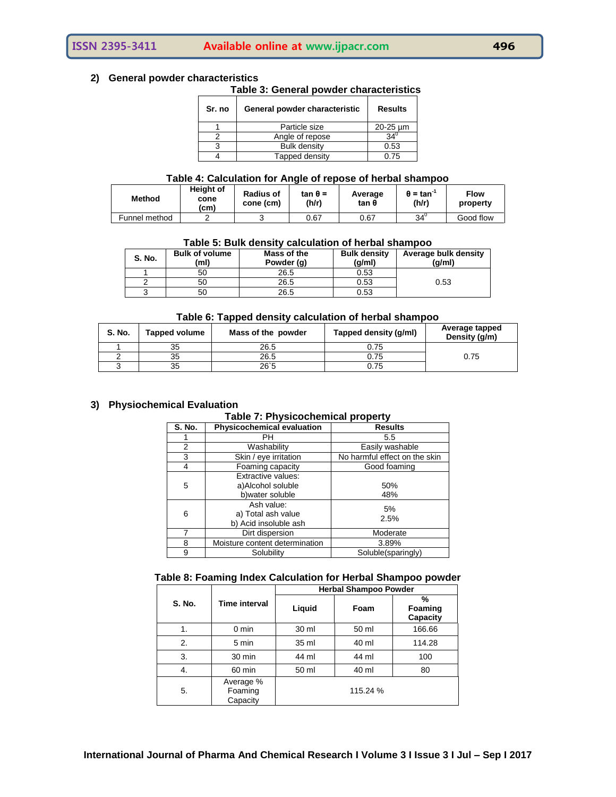## **ISSN 2395-3411 Available online at www.ijpacr.com 496**

#### **2) General powder characteristics**

#### **Table 3: General powder characteristics**

| Sr. no | General powder characteristic | <b>Results</b> |
|--------|-------------------------------|----------------|
|        | Particle size                 | 20-25 um       |
|        | Angle of repose               |                |
|        | <b>Bulk density</b>           | 0.53           |
|        | Tapped density                | 0.75           |

#### **Table 4: Calculation for Angle of repose of herbal shampoo**

| <b>Method</b> | <b>Height of</b><br>cone<br>(cm) | <b>Radius of</b><br>cone (cm) | $tan θ =$<br>(h/r) | Average<br>tan θ | $\theta$ = tan $\tilde{ }$<br>(h/r) | <b>Flow</b><br>property |
|---------------|----------------------------------|-------------------------------|--------------------|------------------|-------------------------------------|-------------------------|
| Funnel method |                                  |                               | 0.67               | 0.67             | $34^{\circ}$                        | Good flow               |

#### **Table 5: Bulk density calculation of herbal shampoo**

| <b>S. No.</b> | <b>Bulk of volume</b><br>(ml) | Mass of the<br>Powder (q) | <b>Bulk density</b><br>(g/ml) | Average bulk density<br>(g/ml) |
|---------------|-------------------------------|---------------------------|-------------------------------|--------------------------------|
|               | 50                            | 26.5                      | 0.53                          |                                |
|               | 50                            | 26.5                      | 0.53                          | 0.53                           |
|               | 50                            | 26.5                      | 0.53                          |                                |

#### **Table 6: Tapped density calculation of herbal shampoo**

| <b>S. No.</b> | <b>Tapped volume</b> | Mass of the powder | Tapped density (g/ml) | Average tapped<br>Density (g/m) |
|---------------|----------------------|--------------------|-----------------------|---------------------------------|
|               | 35                   | 26.5               | 0.75                  |                                 |
|               | 35                   | 26.5               | 0.75                  | 0.75                            |
|               | 35                   | 26'5               | 0.75                  |                                 |

## **3) Physiochemical Evaluation**

#### **Table 7: Physicochemical property**

| <b>S. No.</b> | Physicochemical evaluation                                  | <b>Results</b>                |
|---------------|-------------------------------------------------------------|-------------------------------|
|               | PН                                                          | 5.5                           |
| 2             | Washability                                                 | Easily washable               |
| 3             | Skin / eye irritation                                       | No harmful effect on the skin |
| 4             | Foaming capacity                                            | Good foaming                  |
| 5             | Extractive values:<br>a)Alcohol soluble<br>b) water soluble | 50%<br>48%                    |
| 6             | Ash value:<br>a) Total ash value<br>b) Acid insoluble ash   | 5%<br>2.5%                    |
|               | Dirt dispersion                                             | Moderate                      |
| 8             | Moisture content determination                              | 3.89%                         |
| 9             | Solubility                                                  | Soluble(sparingly)            |

#### **Table 8: Foaming Index Calculation for Herbal Shampoo powder**

|               |                                  | <b>Herbal Shampoo Powder</b> |          |                          |  |
|---------------|----------------------------------|------------------------------|----------|--------------------------|--|
| <b>S. No.</b> | Time interval                    | Liquid                       | Foam     | %<br>Foaming<br>Capacity |  |
| 1.            | $0 \text{ min}$                  | 30 ml                        | 50 ml    | 166.66                   |  |
| 2.            | 5 min                            | 35 ml                        | 40 ml    | 114.28                   |  |
| 3.            | 30 min                           | 44 ml                        | 44 ml    | 100                      |  |
| 4.            | 60 min                           | 50 ml                        | 40 ml    | 80                       |  |
| 5.            | Average %<br>Foaming<br>Capacity |                              | 115.24 % |                          |  |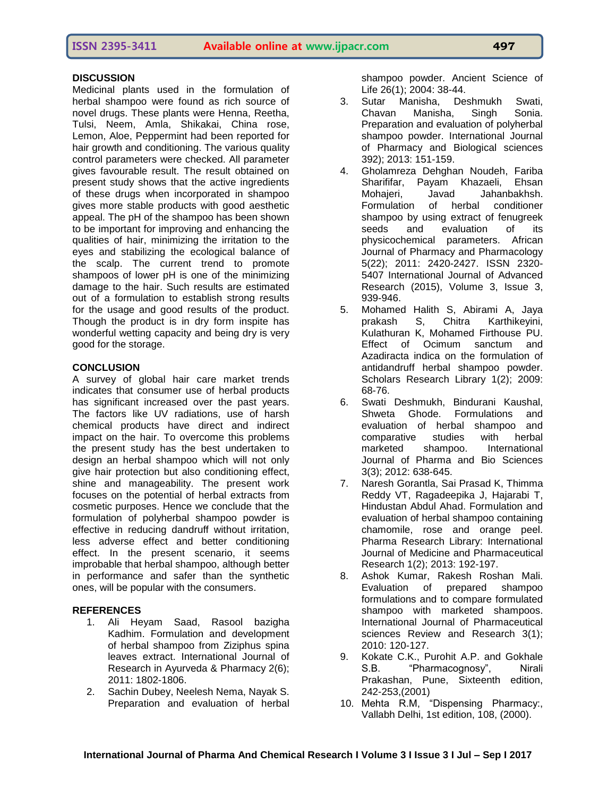## **DISCUSSION**

Medicinal plants used in the formulation of herbal shampoo were found as rich source of novel drugs. These plants were Henna, Reetha, Tulsi, Neem, Amla, Shikakai, China rose, Lemon, Aloe, Peppermint had been reported for hair growth and conditioning. The various quality control parameters were checked. All parameter gives favourable result. The result obtained on present study shows that the active ingredients of these drugs when incorporated in shampoo gives more stable products with good aesthetic appeal. The pH of the shampoo has been shown to be important for improving and enhancing the qualities of hair, minimizing the irritation to the eyes and stabilizing the ecological balance of the scalp. The current trend to promote shampoos of lower pH is one of the minimizing damage to the hair. Such results are estimated out of a formulation to establish strong results for the usage and good results of the product. Though the product is in dry form inspite has wonderful wetting capacity and being dry is very good for the storage.

## **CONCLUSION**

A survey of global hair care market trends indicates that consumer use of herbal products has significant increased over the past years. The factors like UV radiations, use of harsh chemical products have direct and indirect impact on the hair. To overcome this problems the present study has the best undertaken to design an herbal shampoo which will not only give hair protection but also conditioning effect, shine and manageability. The present work focuses on the potential of herbal extracts from cosmetic purposes. Hence we conclude that the formulation of polyherbal shampoo powder is effective in reducing dandruff without irritation, less adverse effect and better conditioning effect. In the present scenario, it seems improbable that herbal shampoo, although better in performance and safer than the synthetic ones, will be popular with the consumers.

## **REFERENCES**

- 1. Ali Heyam Saad, Rasool bazigha Kadhim. Formulation and development of herbal shampoo from Ziziphus spina leaves extract. International Journal of Research in Ayurveda & Pharmacy 2(6); 2011: 1802-1806.
- 2. Sachin Dubey, Neelesh Nema, Nayak S. Preparation and evaluation of herbal

shampoo powder. Ancient Science of Life 26(1); 2004: 38-44.

- 3. Sutar Manisha, Deshmukh Swati, Chavan Manisha, Singh Sonia. Preparation and evaluation of polyherbal shampoo powder. International Journal of Pharmacy and Biological sciences 392); 2013: 151-159.
- 4. Gholamreza Dehghan Noudeh, Fariba Sharififar, Payam Khazaeli, Ehsan Mohajeri, Javad Jahanbakhsh. Formulation of herbal conditioner shampoo by using extract of fenugreek seeds and evaluation of its physicochemical parameters. African Journal of Pharmacy and Pharmacology 5(22); 2011: 2420-2427. ISSN 2320- 5407 International Journal of Advanced Research (2015), Volume 3, Issue 3, 939-946.
- 5. Mohamed Halith S, Abirami A, Jaya prakash S, Chitra Karthikeyini, Kulathuran K, Mohamed Firthouse PU. Effect of Ocimum sanctum and Azadiracta indica on the formulation of antidandruff herbal shampoo powder. Scholars Research Library 1(2); 2009: 68-76.
- 6. Swati Deshmukh, Bindurani Kaushal, Shweta Ghode. Formulations and evaluation of herbal shampoo and comparative studies with herbal marketed shampoo. International Journal of Pharma and Bio Sciences 3(3); 2012: 638-645.
- 7. Naresh Gorantla, Sai Prasad K, Thimma Reddy VT, Ragadeepika J, Hajarabi T, Hindustan Abdul Ahad. Formulation and evaluation of herbal shampoo containing chamomile, rose and orange peel. Pharma Research Library: International Journal of Medicine and Pharmaceutical Research 1(2); 2013: 192-197.
- 8. Ashok Kumar, Rakesh Roshan Mali. Evaluation of prepared shampoo formulations and to compare formulated shampoo with marketed shampoos. International Journal of Pharmaceutical sciences Review and Research 3(1); 2010: 120-127.
- 9. Kokate C.K., Purohit A.P. and Gokhale S.B. "Pharmacognosy", Nirali Prakashan, Pune, Sixteenth edition, 242-253,(2001)
- 10. Mehta R.M, "Dispensing Pharmacy:, Vallabh Delhi, 1st edition, 108, (2000).